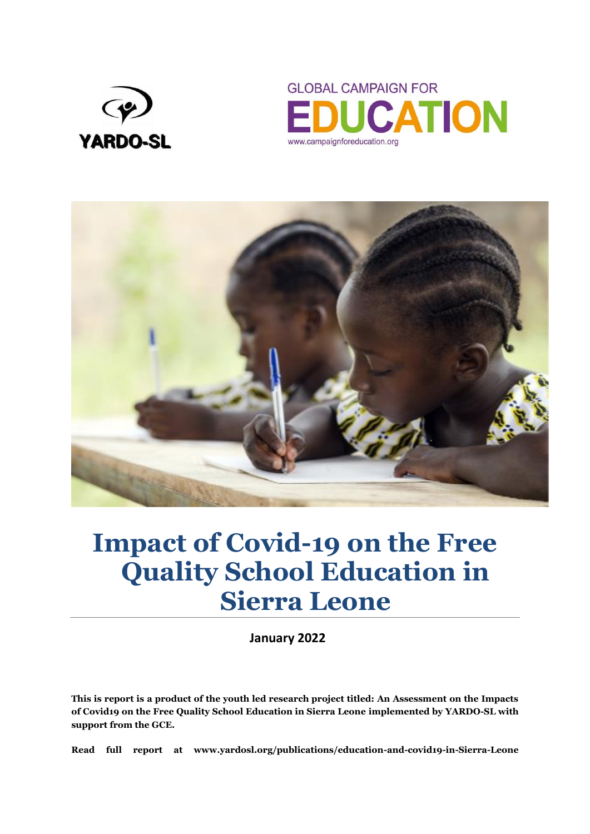





# **Impact of Covid-19 on the Free Quality School Education in Sierra Leone**

**January 2022**

**This is report is a product of the youth led research project titled: An Assessment on the Impacts of Covid19 on the Free Quality School Education in Sierra Leone implemented by YARDO-SL with support from the GCE.** 

**Read full report at www.yardosl.org/publications/education-and-covid19-in-Sierra-Leone**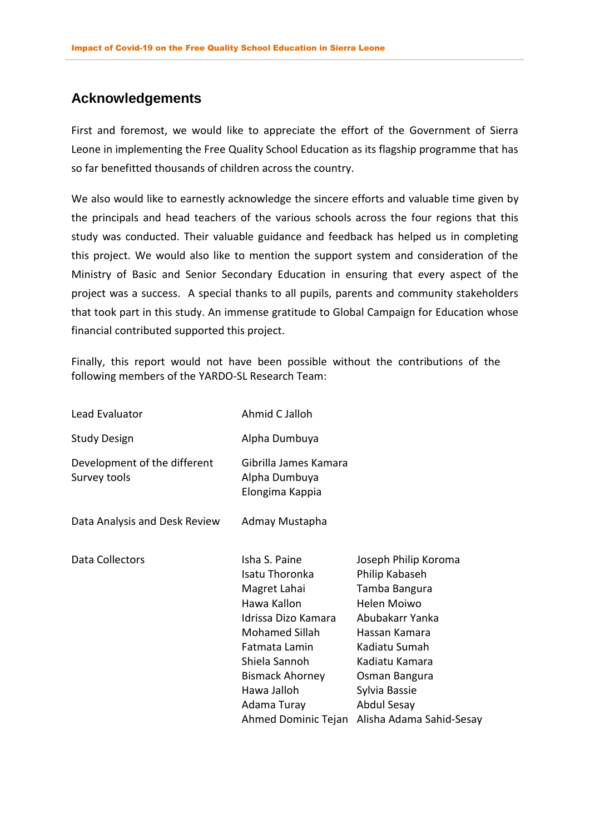## <span id="page-1-0"></span>**Acknowledgements**

First and foremost, we would like to appreciate the effort of the Government of Sierra Leone in implementing the Free Quality School Education as its flagship programme that has so far benefitted thousands of children across the country.

We also would like to earnestly acknowledge the sincere efforts and valuable time given by the principals and head teachers of the various schools across the four regions that this study was conducted. Their valuable guidance and feedback has helped us in completing this project. We would also like to mention the support system and consideration of the Ministry of Basic and Senior Secondary Education in ensuring that every aspect of the project was a success. A special thanks to all pupils, parents and community stakeholders that took part in this study. An immense gratitude to Global Campaign for Education whose financial contributed supported this project.

Finally, this report would not have been possible without the contributions of the following members of the YARDO-SL Research Team:

| Lead Evaluator                               | Ahmid C Jalloh                                                                                                                                                                                                           |                                                                                                                                                                                                                            |
|----------------------------------------------|--------------------------------------------------------------------------------------------------------------------------------------------------------------------------------------------------------------------------|----------------------------------------------------------------------------------------------------------------------------------------------------------------------------------------------------------------------------|
| <b>Study Design</b>                          | Alpha Dumbuya                                                                                                                                                                                                            |                                                                                                                                                                                                                            |
| Development of the different<br>Survey tools | Gibrilla James Kamara<br>Alpha Dumbuya<br>Elongima Kappia                                                                                                                                                                |                                                                                                                                                                                                                            |
| Data Analysis and Desk Review                | Admay Mustapha                                                                                                                                                                                                           |                                                                                                                                                                                                                            |
| Data Collectors                              | Isha S. Paine<br>Isatu Thoronka<br>Magret Lahai<br>Hawa Kallon<br>Idrissa Dizo Kamara<br>Mohamed Sillah<br>Fatmata Lamin<br>Shiela Sannoh<br><b>Bismack Ahorney</b><br>Hawa Jalloh<br>Adama Turay<br>Ahmed Dominic Tejan | Joseph Philip Koroma<br>Philip Kabaseh<br>Tamba Bangura<br>Helen Moiwo<br>Abubakarr Yanka<br>Hassan Kamara<br>Kadiatu Sumah<br>Kadiatu Kamara<br>Osman Bangura<br>Sylvia Bassie<br>Abdul Sesay<br>Alisha Adama Sahid-Sesay |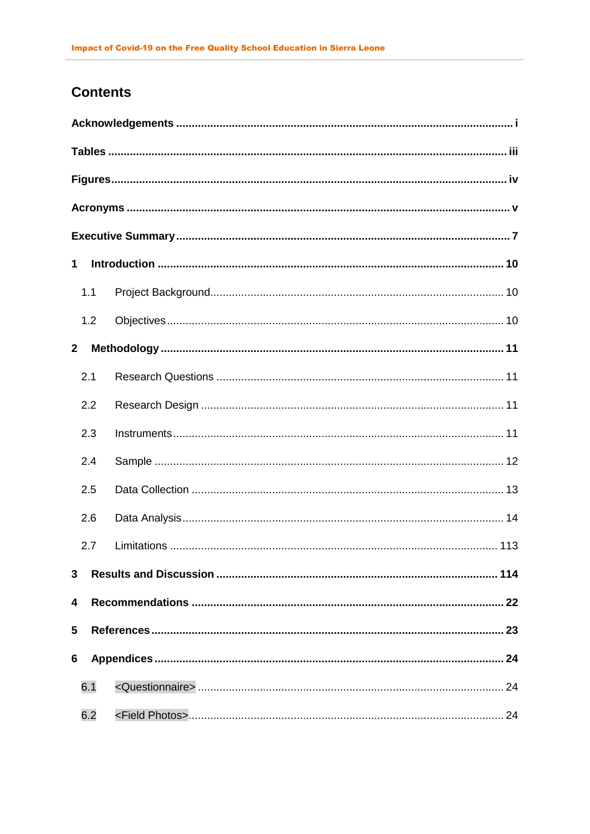# **Contents**

| $\mathbf 1$  |     |  |  |  |  |
|--------------|-----|--|--|--|--|
|              | 1.1 |  |  |  |  |
|              | 1.2 |  |  |  |  |
| $\mathbf{2}$ |     |  |  |  |  |
|              | 2.1 |  |  |  |  |
|              | 2.2 |  |  |  |  |
|              | 2.3 |  |  |  |  |
|              | 2.4 |  |  |  |  |
|              | 2.5 |  |  |  |  |
|              | 2.6 |  |  |  |  |
|              | 2.7 |  |  |  |  |
| 3            |     |  |  |  |  |
| 4            |     |  |  |  |  |
| 5            |     |  |  |  |  |
| 6            |     |  |  |  |  |
|              | 6.1 |  |  |  |  |
|              | 6.2 |  |  |  |  |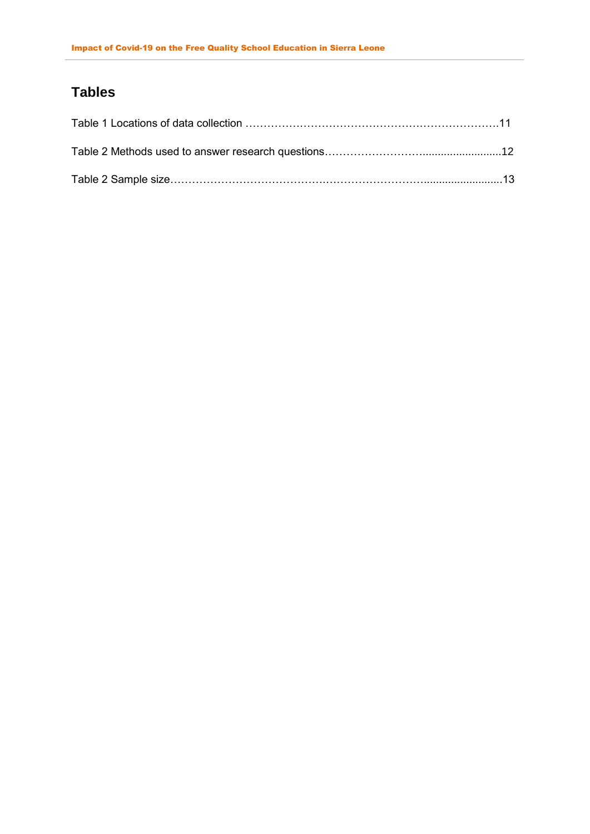# <span id="page-3-0"></span>**Tables**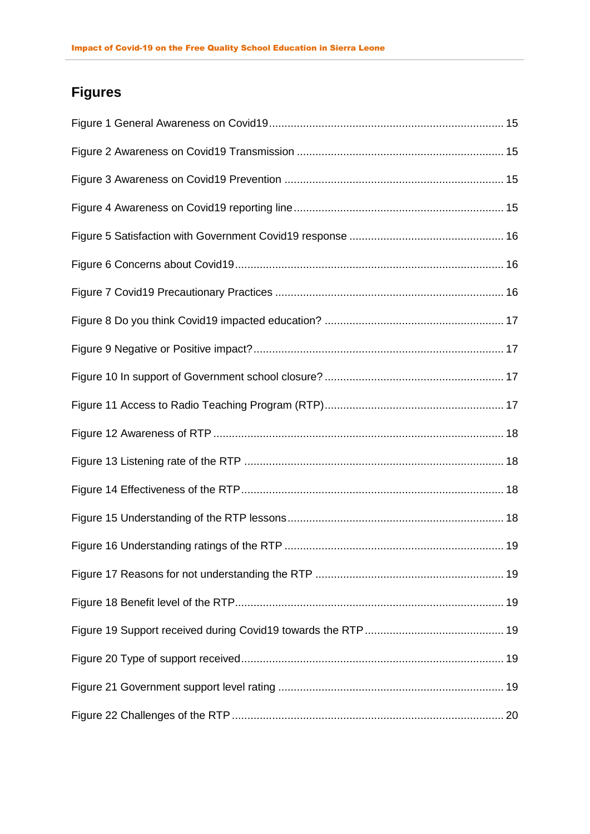# <span id="page-4-0"></span>**Figures**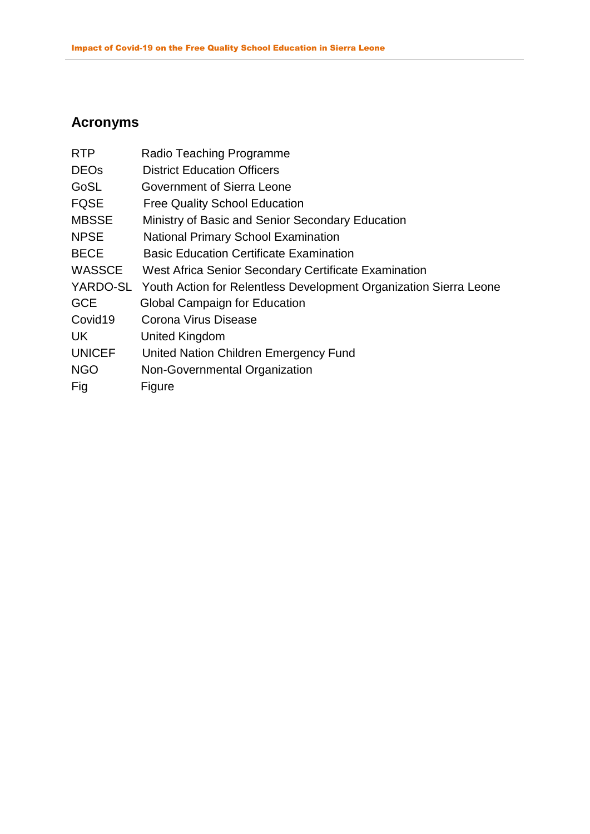# <span id="page-5-0"></span>**Acronyms**

| <b>RTP</b>    | Radio Teaching Programme                                                   |
|---------------|----------------------------------------------------------------------------|
| <b>DEOs</b>   | <b>District Education Officers</b>                                         |
| GoSL          | Government of Sierra Leone                                                 |
| <b>FQSE</b>   | <b>Free Quality School Education</b>                                       |
| <b>MBSSE</b>  | Ministry of Basic and Senior Secondary Education                           |
| <b>NPSE</b>   | <b>National Primary School Examination</b>                                 |
| <b>BECE</b>   | <b>Basic Education Certificate Examination</b>                             |
| <b>WASSCE</b> | West Africa Senior Secondary Certificate Examination                       |
|               | YARDO-SL Youth Action for Relentless Development Organization Sierra Leone |
| <b>GCE</b>    | <b>Global Campaign for Education</b>                                       |
| Covid19       | Corona Virus Disease                                                       |
| UK.           | United Kingdom                                                             |
| <b>UNICEF</b> | United Nation Children Emergency Fund                                      |
| <b>NGO</b>    | Non-Governmental Organization                                              |
| Fig           | Figure                                                                     |
|               |                                                                            |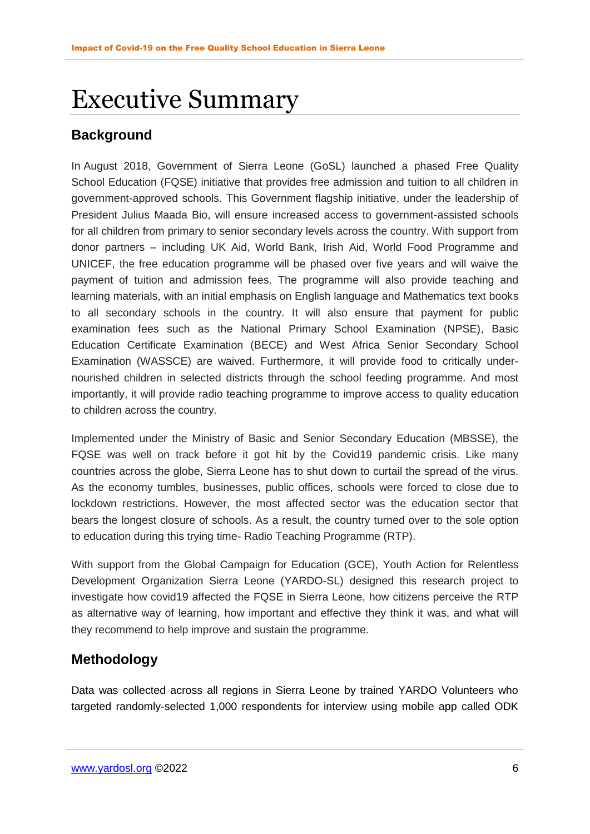# <span id="page-6-0"></span>Executive Summary

# **Background**

In August 2018, Government of Sierra Leone (GoSL) launched a phased Free Quality School Education (FQSE) initiative that provides free admission and tuition to all children in government-approved schools. This Government flagship initiative, under the leadership of President Julius Maada Bio, will ensure increased access to government-assisted schools for all children from primary to senior secondary levels across the country. With support from donor partners – including UK Aid, World Bank, Irish Aid, World Food Programme and UNICEF, the free education programme will be phased over five years and will waive the payment of tuition and admission fees. The programme will also provide teaching and learning materials, with an initial emphasis on English language and Mathematics text books to all secondary schools in the country. It will also ensure that payment for public examination fees such as the National Primary School Examination (NPSE), Basic Education Certificate Examination (BECE) and West Africa Senior Secondary School Examination (WASSCE) are waived. Furthermore, it will provide food to critically undernourished children in selected districts through the school feeding programme. And most importantly, it will provide radio teaching programme to improve access to quality education to children across the country.

Implemented under the Ministry of Basic and Senior Secondary Education (MBSSE), the FQSE was well on track before it got hit by the Covid19 pandemic crisis. Like many countries across the globe, Sierra Leone has to shut down to curtail the spread of the virus. As the economy tumbles, businesses, public offices, schools were forced to close due to lockdown restrictions. However, the most affected sector was the education sector that bears the longest closure of schools. As a result, the country turned over to the sole option to education during this trying time- Radio Teaching Programme (RTP).

With support from the Global Campaign for Education (GCE), Youth Action for Relentless Development Organization Sierra Leone (YARDO-SL) designed this research project to investigate how covid19 affected the FQSE in Sierra Leone, how citizens perceive the RTP as alternative way of learning, how important and effective they think it was, and what will they recommend to help improve and sustain the programme.

# **Methodology**

Data was collected across all regions in Sierra Leone by trained YARDO Volunteers who targeted randomly-selected 1,000 respondents for interview using mobile app called ODK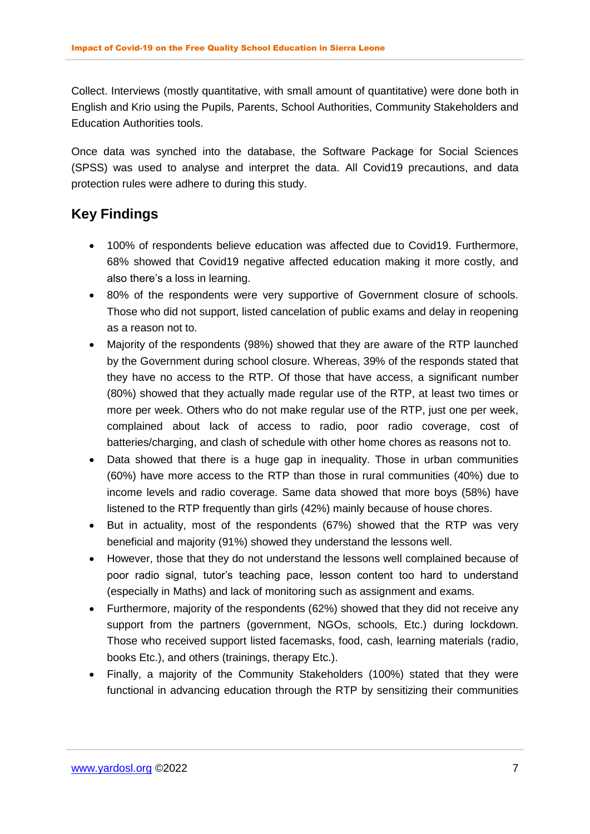Collect. Interviews (mostly quantitative, with small amount of quantitative) were done both in English and Krio using the Pupils, Parents, School Authorities, Community Stakeholders and Education Authorities tools.

Once data was synched into the database, the Software Package for Social Sciences (SPSS) was used to analyse and interpret the data. All Covid19 precautions, and data protection rules were adhere to during this study.

# **Key Findings**

- 100% of respondents believe education was affected due to Covid19. Furthermore, 68% showed that Covid19 negative affected education making it more costly, and also there's a loss in learning.
- 80% of the respondents were very supportive of Government closure of schools. Those who did not support, listed cancelation of public exams and delay in reopening as a reason not to.
- Majority of the respondents (98%) showed that they are aware of the RTP launched by the Government during school closure. Whereas, 39% of the responds stated that they have no access to the RTP. Of those that have access, a significant number (80%) showed that they actually made regular use of the RTP, at least two times or more per week. Others who do not make regular use of the RTP, just one per week, complained about lack of access to radio, poor radio coverage, cost of batteries/charging, and clash of schedule with other home chores as reasons not to.
- Data showed that there is a huge gap in inequality. Those in urban communities (60%) have more access to the RTP than those in rural communities (40%) due to income levels and radio coverage. Same data showed that more boys (58%) have listened to the RTP frequently than girls (42%) mainly because of house chores.
- But in actuality, most of the respondents (67%) showed that the RTP was very beneficial and majority (91%) showed they understand the lessons well.
- However, those that they do not understand the lessons well complained because of poor radio signal, tutor's teaching pace, lesson content too hard to understand (especially in Maths) and lack of monitoring such as assignment and exams.
- Furthermore, majority of the respondents (62%) showed that they did not receive any support from the partners (government, NGOs, schools, Etc.) during lockdown. Those who received support listed facemasks, food, cash, learning materials (radio, books Etc.), and others (trainings, therapy Etc.).
- Finally, a majority of the Community Stakeholders (100%) stated that they were functional in advancing education through the RTP by sensitizing their communities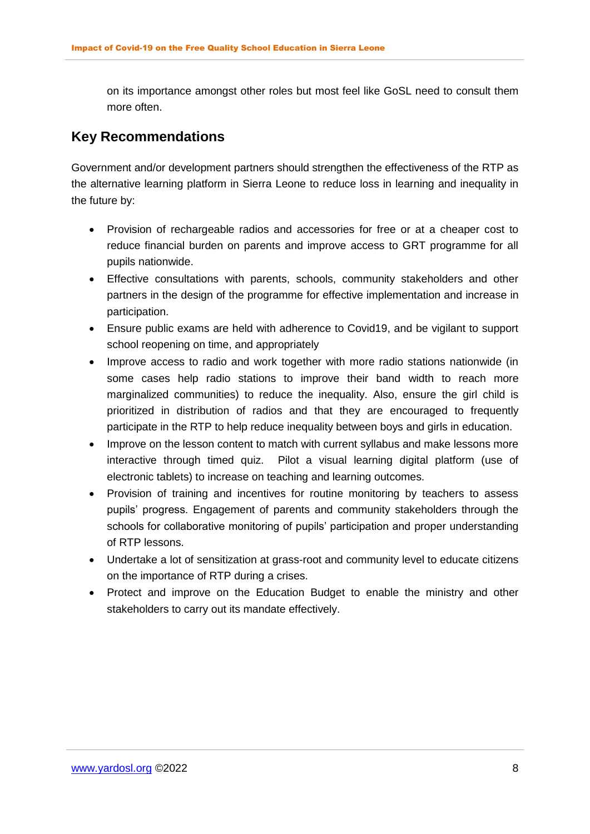on its importance amongst other roles but most feel like GoSL need to consult them more often.

## **Key Recommendations**

Government and/or development partners should strengthen the effectiveness of the RTP as the alternative learning platform in Sierra Leone to reduce loss in learning and inequality in the future by:

- Provision of rechargeable radios and accessories for free or at a cheaper cost to reduce financial burden on parents and improve access to GRT programme for all pupils nationwide.
- Effective consultations with parents, schools, community stakeholders and other partners in the design of the programme for effective implementation and increase in participation.
- Ensure public exams are held with adherence to Covid19, and be vigilant to support school reopening on time, and appropriately
- Improve access to radio and work together with more radio stations nationwide (in some cases help radio stations to improve their band width to reach more marginalized communities) to reduce the inequality. Also, ensure the girl child is prioritized in distribution of radios and that they are encouraged to frequently participate in the RTP to help reduce inequality between boys and girls in education.
- Improve on the lesson content to match with current syllabus and make lessons more interactive through timed quiz. Pilot a visual learning digital platform (use of electronic tablets) to increase on teaching and learning outcomes.
- Provision of training and incentives for routine monitoring by teachers to assess pupils' progress. Engagement of parents and community stakeholders through the schools for collaborative monitoring of pupils' participation and proper understanding of RTP lessons.
- Undertake a lot of sensitization at grass-root and community level to educate citizens on the importance of RTP during a crises.
- Protect and improve on the Education Budget to enable the ministry and other stakeholders to carry out its mandate effectively.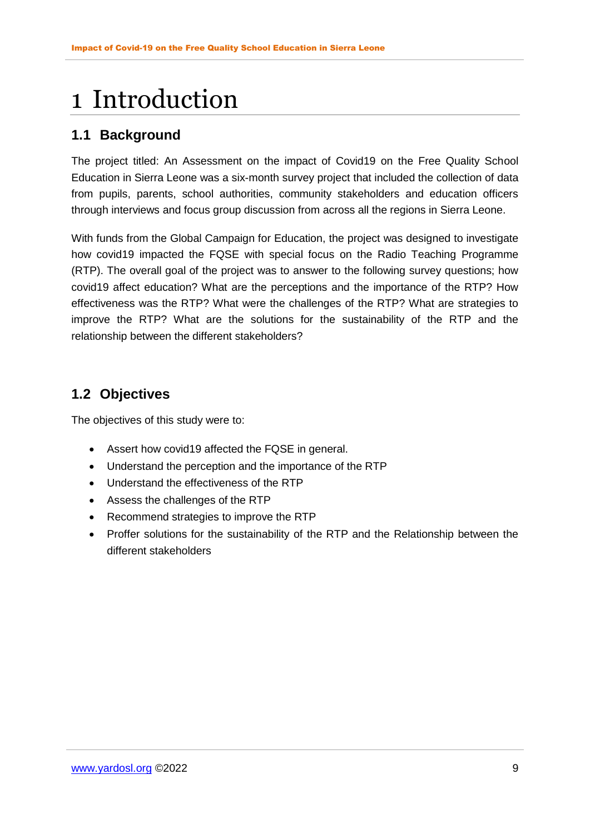# <span id="page-9-0"></span>1 Introduction

## <span id="page-9-1"></span>**1.1 Background**

The project titled: An Assessment on the impact of Covid19 on the Free Quality School Education in Sierra Leone was a six-month survey project that included the collection of data from pupils, parents, school authorities, community stakeholders and education officers through interviews and focus group discussion from across all the regions in Sierra Leone.

With funds from the Global Campaign for Education, the project was designed to investigate how covid19 impacted the FQSE with special focus on the Radio Teaching Programme (RTP). The overall goal of the project was to answer to the following survey questions; how covid19 affect education? What are the perceptions and the importance of the RTP? How effectiveness was the RTP? What were the challenges of the RTP? What are strategies to improve the RTP? What are the solutions for the sustainability of the RTP and the relationship between the different stakeholders?

## <span id="page-9-2"></span>**1.2 Objectives**

The objectives of this study were to:

- Assert how covid19 affected the FQSE in general.
- Understand the perception and the importance of the RTP
- Understand the effectiveness of the RTP
- Assess the challenges of the RTP
- Recommend strategies to improve the RTP
- Proffer solutions for the sustainability of the RTP and the Relationship between the different stakeholders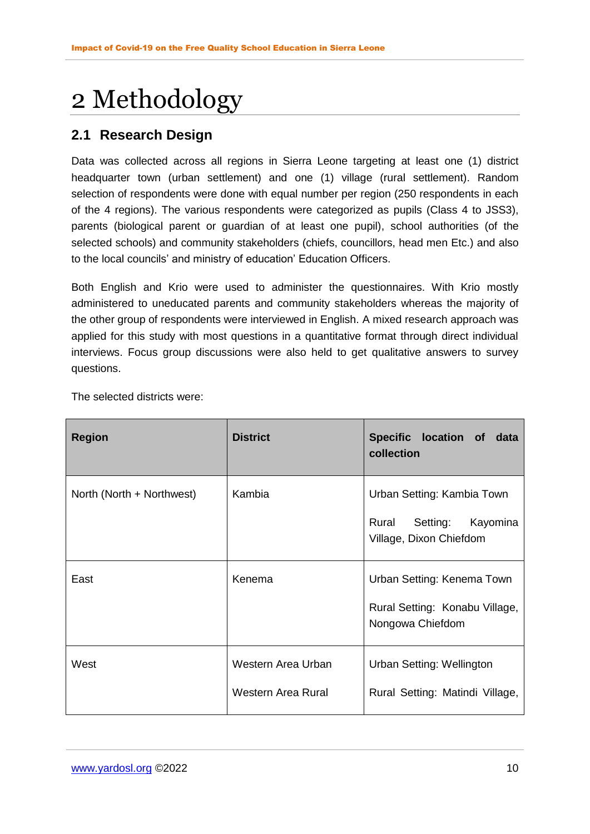# <span id="page-10-0"></span>2 Methodology

## <span id="page-10-1"></span>**2.1 Research Design**

Data was collected across all regions in Sierra Leone targeting at least one (1) district headquarter town (urban settlement) and one (1) village (rural settlement). Random selection of respondents were done with equal number per region (250 respondents in each of the 4 regions). The various respondents were categorized as pupils (Class 4 to JSS3), parents (biological parent or guardian of at least one pupil), school authorities (of the selected schools) and community stakeholders (chiefs, councillors, head men Etc.) and also to the local councils' and ministry of education' Education Officers.

Both English and Krio were used to administer the questionnaires. With Krio mostly administered to uneducated parents and community stakeholders whereas the majority of the other group of respondents were interviewed in English. A mixed research approach was applied for this study with most questions in a quantitative format through direct individual interviews. Focus group discussions were also held to get qualitative answers to survey questions.

| <b>Region</b>             | <b>District</b>                                                                            | Specific location of<br>data<br>collection                   |
|---------------------------|--------------------------------------------------------------------------------------------|--------------------------------------------------------------|
| North (North + Northwest) | Kambia                                                                                     | Urban Setting: Kambia Town                                   |
|                           |                                                                                            | Kayomina<br>Rural<br>Setting:<br>Village, Dixon Chiefdom     |
| East                      | Kenema<br>Urban Setting: Kenema Town<br>Rural Setting: Konabu Village,<br>Nongowa Chiefdom |                                                              |
| West                      | Western Area Urban<br>Western Area Rural                                                   | Urban Setting: Wellington<br>Rural Setting: Matindi Village, |

The selected districts were: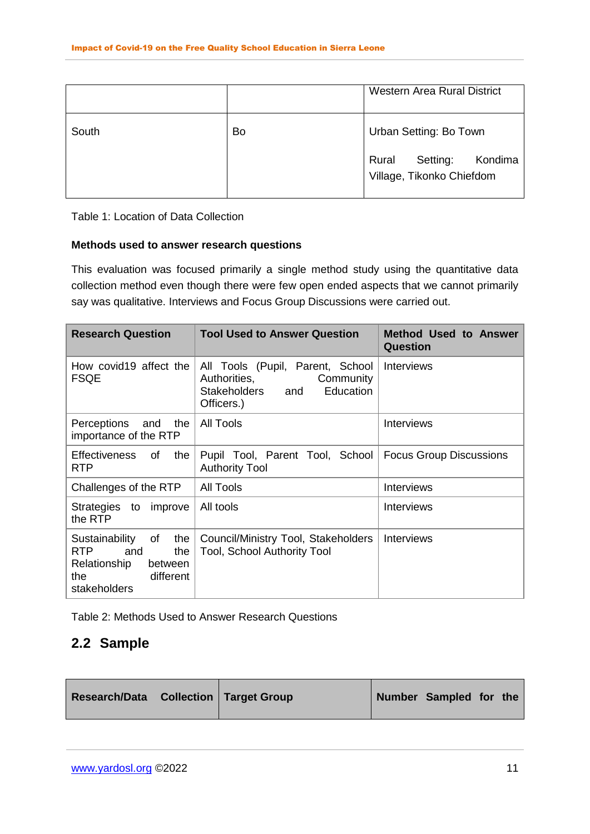|       |    | <b>Western Area Rural District</b>                        |
|-------|----|-----------------------------------------------------------|
| South | Bo | Urban Setting: Bo Town                                    |
|       |    | Setting:<br>Rural<br>Kondima<br>Village, Tikonko Chiefdom |

Table 1: Location of Data Collection

#### **Methods used to answer research questions**

This evaluation was focused primarily a single method study using the quantitative data collection method even though there were few open ended aspects that we cannot primarily say was qualitative. Interviews and Focus Group Discussions were carried out.

| <b>Research Question</b>                                                                                                 | <b>Tool Used to Answer Question</b>                                                                          | <b>Method Used to Answer</b><br><b>Question</b> |  |
|--------------------------------------------------------------------------------------------------------------------------|--------------------------------------------------------------------------------------------------------------|-------------------------------------------------|--|
| How covid19 affect the<br><b>FSQE</b>                                                                                    | All Tools (Pupil, Parent, School<br>Authorities,<br>Community<br>Education<br>Stakeholders and<br>Officers.) | Interviews                                      |  |
| Perceptions and the<br>importance of the RTP                                                                             | All Tools                                                                                                    | <b>Interviews</b>                               |  |
| <b>Effectiveness</b><br>of<br>the<br><b>RTP</b>                                                                          | Pupil Tool, Parent Tool, School<br><b>Authority Tool</b>                                                     | <b>Focus Group Discussions</b>                  |  |
| Challenges of the RTP                                                                                                    | <b>All Tools</b>                                                                                             | <b>Interviews</b>                               |  |
| Strategies to<br>improve<br>the RTP                                                                                      | All tools                                                                                                    | <b>Interviews</b>                               |  |
| Sustainability<br>of<br>the<br>RTP <b>R</b><br>and<br>the<br>Relationship<br>between<br>different<br>the<br>stakeholders | Council/Ministry Tool, Stakeholders<br><b>Tool, School Authority Tool</b>                                    | <b>Interviews</b>                               |  |

<span id="page-11-0"></span>Table 2: Methods Used to Answer Research Questions

## <span id="page-11-1"></span>**2.2 Sample**

| Number Sampled for the<br><b>Research/Data</b> Collection Target Group |  |
|------------------------------------------------------------------------|--|
|------------------------------------------------------------------------|--|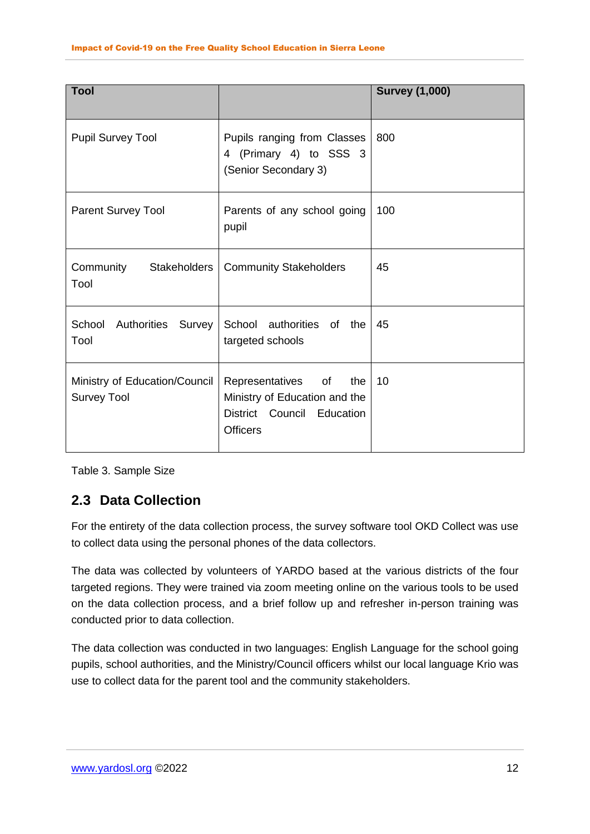| <b>Tool</b>                                         |                                                                                                             | <b>Survey (1,000)</b> |
|-----------------------------------------------------|-------------------------------------------------------------------------------------------------------------|-----------------------|
| <b>Pupil Survey Tool</b>                            | Pupils ranging from Classes<br>4 (Primary 4) to SSS 3<br>(Senior Secondary 3)                               | 800                   |
| <b>Parent Survey Tool</b>                           | Parents of any school going<br>pupil                                                                        | 100                   |
| Community Stakeholders<br>Tool                      | <b>Community Stakeholders</b>                                                                               | 45                    |
| School Authorities Survey<br>Tool                   | School authorities of the<br>targeted schools                                                               | 45                    |
| Ministry of Education/Council<br><b>Survey Tool</b> | Representatives of<br>the<br>Ministry of Education and the<br>District Council Education<br><b>Officers</b> | 10                    |

Table 3. Sample Size

## <span id="page-12-0"></span>**2.3 Data Collection**

For the entirety of the data collection process, the survey software tool OKD Collect was use to collect data using the personal phones of the data collectors.

The data was collected by volunteers of YARDO based at the various districts of the four targeted regions. They were trained via zoom meeting online on the various tools to be used on the data collection process, and a brief follow up and refresher in-person training was conducted prior to data collection.

The data collection was conducted in two languages: English Language for the school going pupils, school authorities, and the Ministry/Council officers whilst our local language Krio was use to collect data for the parent tool and the community stakeholders.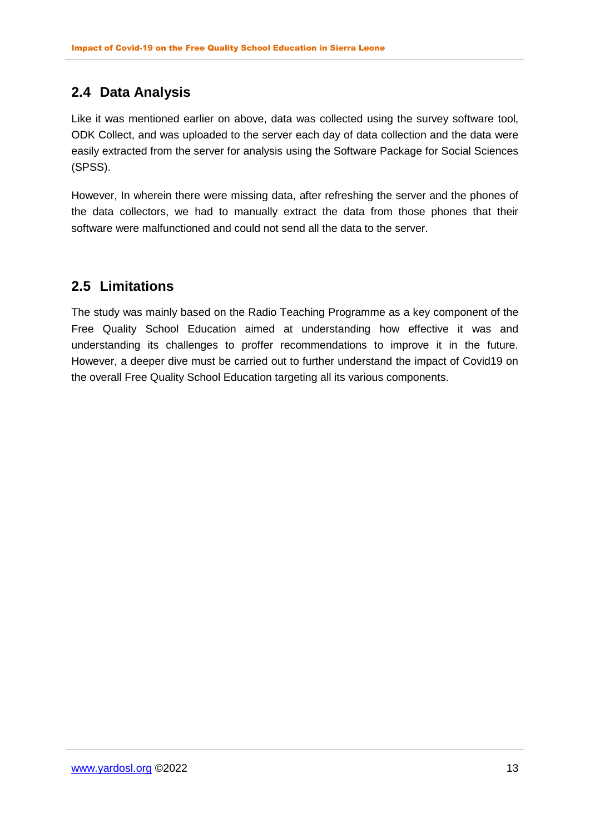## <span id="page-13-0"></span>**2.4 Data Analysis**

Like it was mentioned earlier on above, data was collected using the survey software tool, ODK Collect, and was uploaded to the server each day of data collection and the data were easily extracted from the server for analysis using the Software Package for Social Sciences (SPSS).

However, In wherein there were missing data, after refreshing the server and the phones of the data collectors, we had to manually extract the data from those phones that their software were malfunctioned and could not send all the data to the server.

## <span id="page-13-1"></span>**2.5 Limitations**

The study was mainly based on the Radio Teaching Programme as a key component of the Free Quality School Education aimed at understanding how effective it was and understanding its challenges to proffer recommendations to improve it in the future. However, a deeper dive must be carried out to further understand the impact of Covid19 on the overall Free Quality School Education targeting all its various components.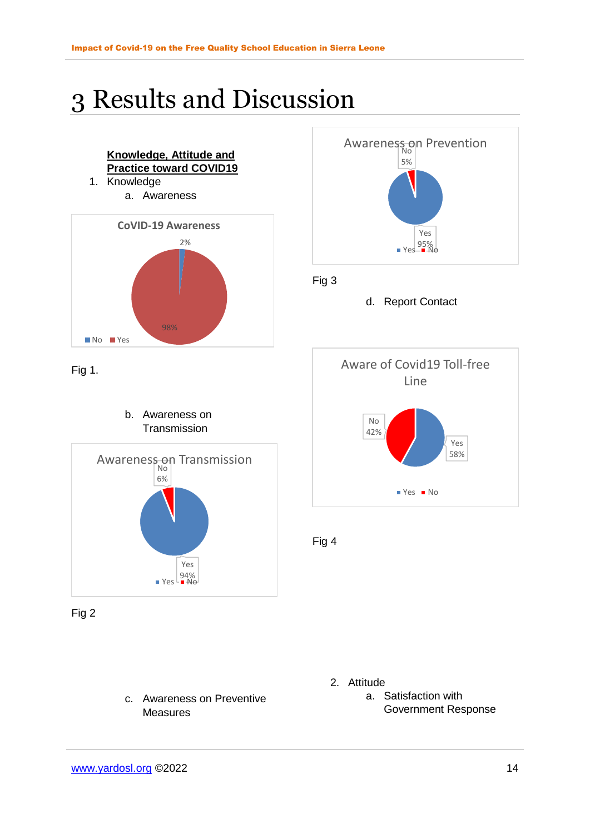# <span id="page-14-0"></span>3 Results and Discussion



c. Awareness on Preventive Measures



d. Report Contact



2. Attitude

a. Satisfaction with Government Response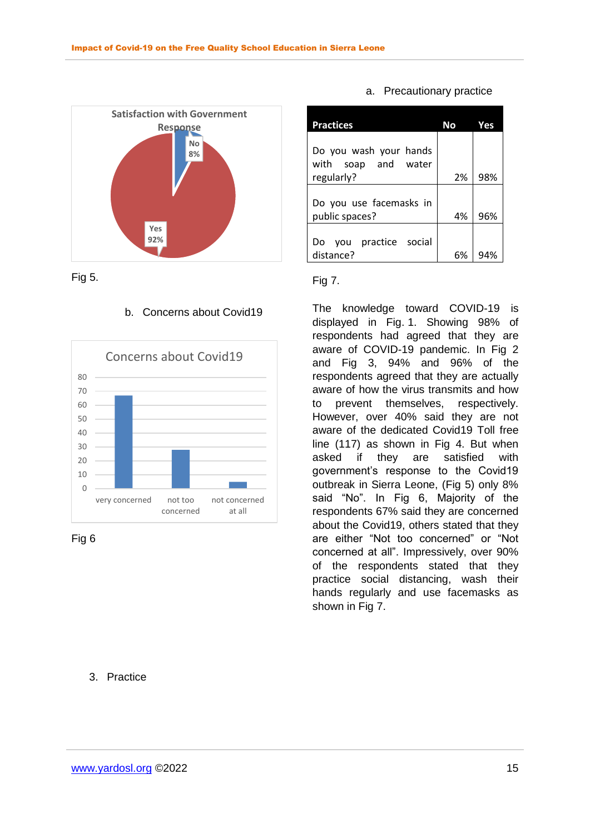



### b. Concerns about Covid19



Fig 6

### 3. Practice

#### a. Precautionary practice

| <b>Practices</b>                                 | Νo | Yes |
|--------------------------------------------------|----|-----|
| Do you wash your hands<br>with soap and<br>water | 2% | 98% |
| regularly?                                       |    |     |
| Do you use facemasks in<br>public spaces?        | 4% | 96% |
|                                                  |    |     |
| practice social<br>vou<br>DΟ                     |    |     |
| distance?                                        | 6% |     |

#### Fig 7.

The knowledge toward COVID-19 is displayed in Fig. 1. Showing 98% of respondents had agreed that they are aware of COVID-19 pandemic. In Fig 2 and Fig 3, 94% and 96% of the respondents agreed that they are actually aware of how the virus transmits and how to prevent themselves, respectively. However, over 40% said they are not aware of the dedicated Covid19 Toll free line (117) as shown in Fig 4. But when asked if they are satisfied with government's response to the Covid19 outbreak in Sierra Leone, (Fig 5) only 8% said "No". In Fig 6, Majority of the respondents 67% said they are concerned about the Covid19, others stated that they are either "Not too concerned" or "Not concerned at all". Impressively, over 90% of the respondents stated that they practice social distancing, wash their hands regularly and use facemasks as shown in Fig 7.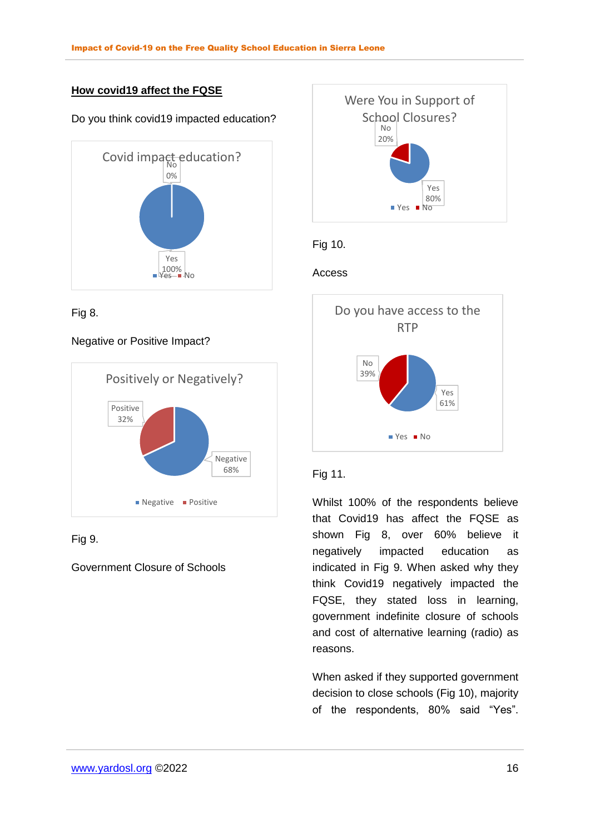## **How covid19 affect the FQSE**

#### Do you think covid19 impacted education?



Fig 8.

### Negative or Positive Impact?



## Fig 9.

## Government Closure of Schools



## Fig 10.

### Access



### Fig 11.

Whilst 100% of the respondents believe that Covid19 has affect the FQSE as shown Fig 8, over 60% believe it negatively impacted education as indicated in Fig 9. When asked why they think Covid19 negatively impacted the FQSE, they stated loss in learning, government indefinite closure of schools and cost of alternative learning (radio) as reasons.

When asked if they supported government decision to close schools (Fig 10), majority of the respondents, 80% said "Yes".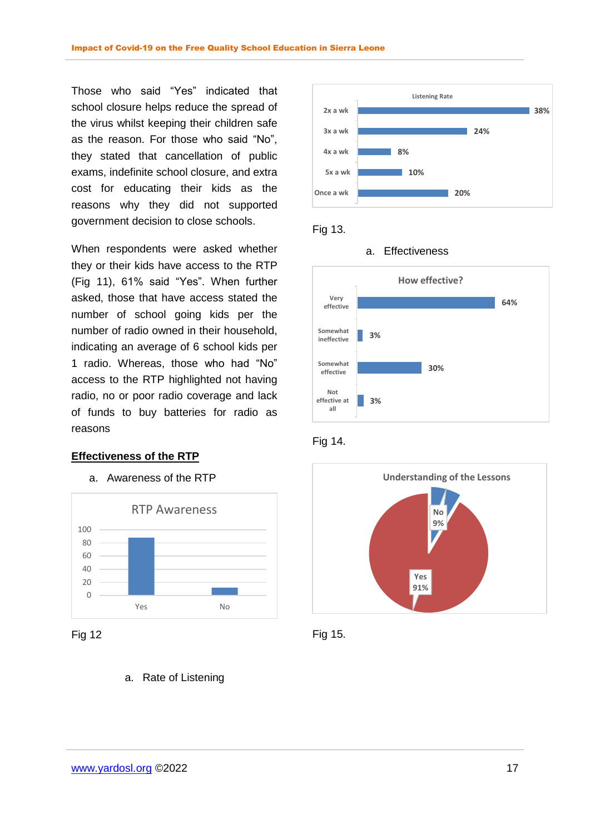Those who said "Yes" indicated that school closure helps reduce the spread of the virus whilst keeping their children safe as the reason. For those who said "No", they stated that cancellation of public exams, indefinite school closure, and extra cost for educating their kids as the reasons why they did not supported government decision to close schools.

When respondents were asked whether they or their kids have access to the RTP (Fig 11), 61% said "Yes". When further asked, those that have access stated the number of school going kids per the number of radio owned in their household, indicating an average of 6 school kids per 1 radio. Whereas, those who had "No" access to the RTP highlighted not having radio, no or poor radio coverage and lack of funds to buy batteries for radio as reasons

#### **Effectiveness of the RTP**

#### a. Awareness of the RTP





#### a. Rate of Listening



### Fig 13.









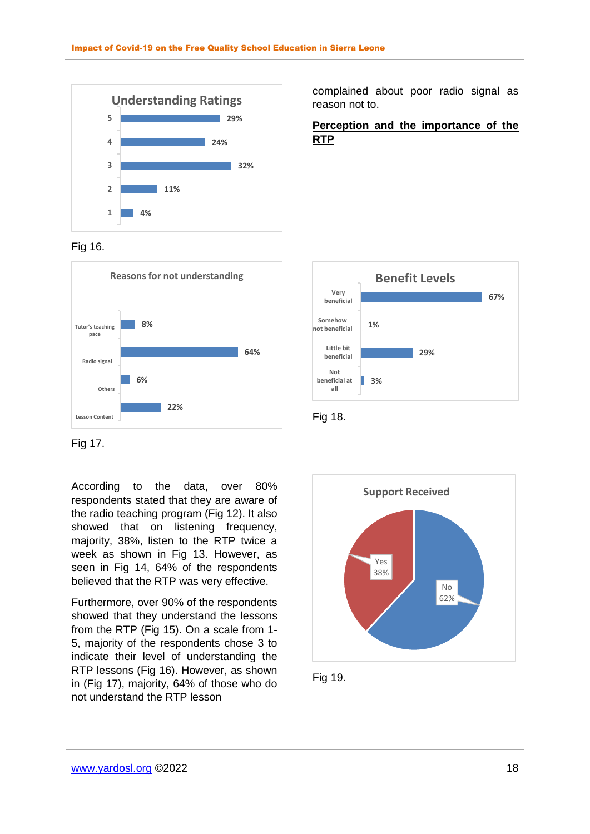

#### Fig 16.



Fig 17.

According to the data, over 80% respondents stated that they are aware of the radio teaching program (Fig 12). It also showed that on listening frequency, majority, 38%, listen to the RTP twice a week as shown in Fig 13. However, as seen in Fig 14, 64% of the respondents believed that the RTP was very effective.

Furthermore, over 90% of the respondents showed that they understand the lessons from the RTP (Fig 15). On a scale from 1- 5, majority of the respondents chose 3 to indicate their level of understanding the RTP lessons (Fig 16). However, as shown in (Fig 17), majority, 64% of those who do not understand the RTP lesson

complained about poor radio signal as reason not to.

**Perception and the importance of the RTP** 







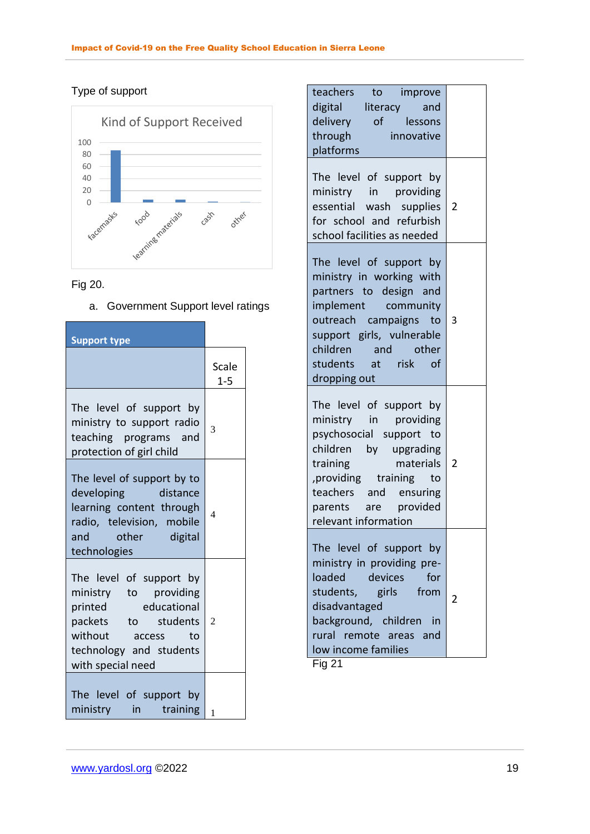## Type of support



## Fig 20.

a. Government Support level ratings

| <b>Support type</b>                                                                                                                                                    |                  |
|------------------------------------------------------------------------------------------------------------------------------------------------------------------------|------------------|
|                                                                                                                                                                        | Scale<br>$1 - 5$ |
| The level of support by<br>ministry to support radio<br>teaching programs and<br>protection of girl child                                                              | 3                |
| The level of support by to<br>developing distance<br>learning content through<br>radio, television, mobile<br>and other digital<br>technologies                        | $\overline{4}$   |
| The level of support by<br>ministry to providing<br>printed educational<br>packets to students<br>without access<br>to<br>technology and students<br>with special need | $\overline{2}$   |
| The level of support by<br>in training<br>ministry                                                                                                                     | $\mathbf{1}$     |

| teachers<br>to improve<br>digital literacy and                                                                                                                                                                                     |   |
|------------------------------------------------------------------------------------------------------------------------------------------------------------------------------------------------------------------------------------|---|
| delivery of lessons                                                                                                                                                                                                                |   |
| through innovative<br>platforms                                                                                                                                                                                                    |   |
| The level of support by<br>ministry in providing<br>essential wash supplies<br>for school and refurbish<br>school facilities as needed                                                                                             | 2 |
| The level of support by<br>ministry in working with<br>partners to design and<br>implement community<br>outreach campaigns to<br>support girls, vulnerable<br>children and other<br>students at risk of<br>dropping out            | 3 |
| The level of support by<br>ministry in providing<br>psychosocial support to<br>children by upgrading<br>materials<br>training<br>providing training<br>to<br>teachers and ensuring<br>parents are provided<br>relevant information | 2 |
| The level of support by<br>ministry in providing pre-<br>loaded<br>devices<br>for<br>students,<br>girls from<br>disadvantaged<br>background, children<br>in in<br>rural remote areas and<br>low income families                    | 2 |

Fig 21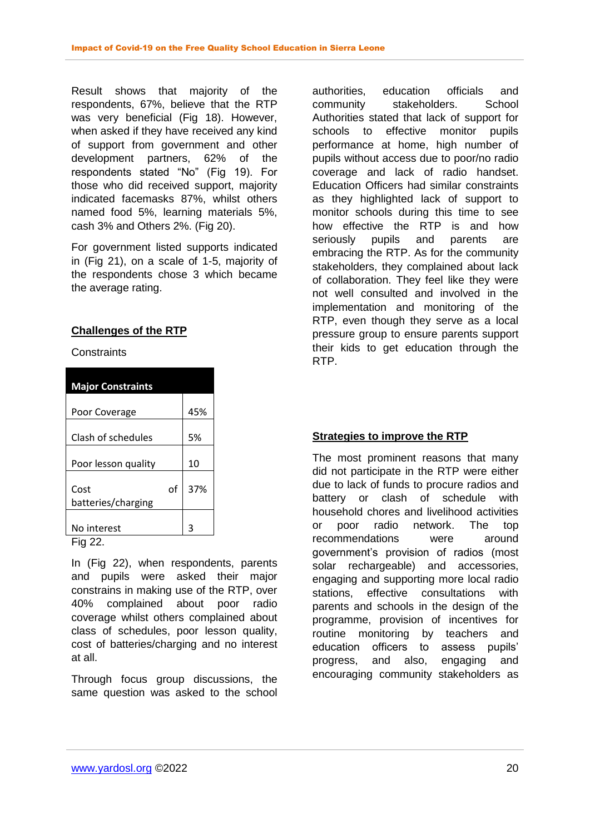Result shows that majority of the respondents, 67%, believe that the RTP was very beneficial (Fig 18). However, when asked if they have received any kind of support from government and other development partners, 62% of the respondents stated "No" (Fig 19). For those who did received support, majority indicated facemasks 87%, whilst others named food 5%, learning materials 5%, cash 3% and Others 2%. (Fig 20).

For government listed supports indicated in (Fig 21), on a scale of 1-5, majority of the respondents chose 3 which became the average rating.

### **Challenges of the RTP**

**Constraints** 

| <b>Major Constraints</b>         |     |
|----------------------------------|-----|
|                                  | 45% |
| Poor Coverage                    |     |
| Clash of schedules               | 5%  |
| Poor lesson quality              | 10  |
| οf<br>Cost<br>batteries/charging | 37% |
|                                  |     |
| No interest                      | ╕   |
| Fig 22.                          |     |

In (Fig 22), when respondents, parents and pupils were asked their major constrains in making use of the RTP, over 40% complained about poor radio coverage whilst others complained about class of schedules, poor lesson quality, cost of batteries/charging and no interest at all.

Through focus group discussions, the same question was asked to the school authorities, education officials and community stakeholders. School Authorities stated that lack of support for schools to effective monitor pupils performance at home, high number of pupils without access due to poor/no radio coverage and lack of radio handset. Education Officers had similar constraints as they highlighted lack of support to monitor schools during this time to see how effective the RTP is and how seriously pupils and parents are embracing the RTP. As for the community stakeholders, they complained about lack of collaboration. They feel like they were not well consulted and involved in the implementation and monitoring of the RTP, even though they serve as a local pressure group to ensure parents support their kids to get education through the RTP.

## **Strategies to improve the RTP**

The most prominent reasons that many did not participate in the RTP were either due to lack of funds to procure radios and battery or clash of schedule with household chores and livelihood activities or poor radio network. The top recommendations were around government's provision of radios (most solar rechargeable) and accessories, engaging and supporting more local radio stations, effective consultations with parents and schools in the design of the programme, provision of incentives for routine monitoring by teachers and education officers to assess pupils' progress, and also, engaging and encouraging community stakeholders as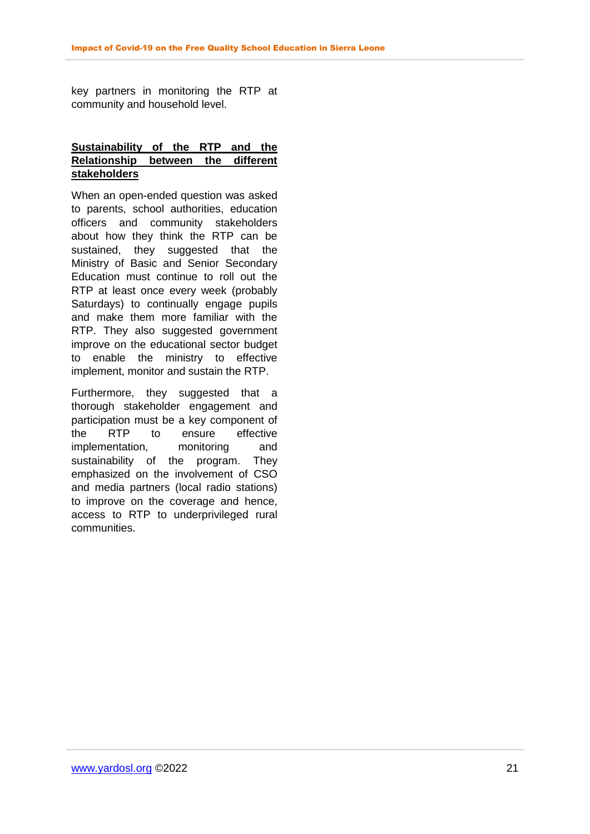key partners in monitoring the RTP at community and household level.

### **Sustainability of the RTP and the Relationship between the different stakeholders**

When an open-ended question was asked to parents, school authorities, education officers and community stakeholders about how they think the RTP can be sustained, they suggested that the Ministry of Basic and Senior Secondary Education must continue to roll out the RTP at least once every week (probably Saturdays) to continually engage pupils and make them more familiar with the RTP. They also suggested government improve on the educational sector budget to enable the ministry to effective implement, monitor and sustain the RTP.

<span id="page-21-0"></span>Furthermore, they suggested that a thorough stakeholder engagement and participation must be a key component of the RTP to ensure effective implementation, monitoring and sustainability of the program. They emphasized on the involvement of CSO and media partners (local radio stations) to improve on the coverage and hence, access to RTP to underprivileged rural communities.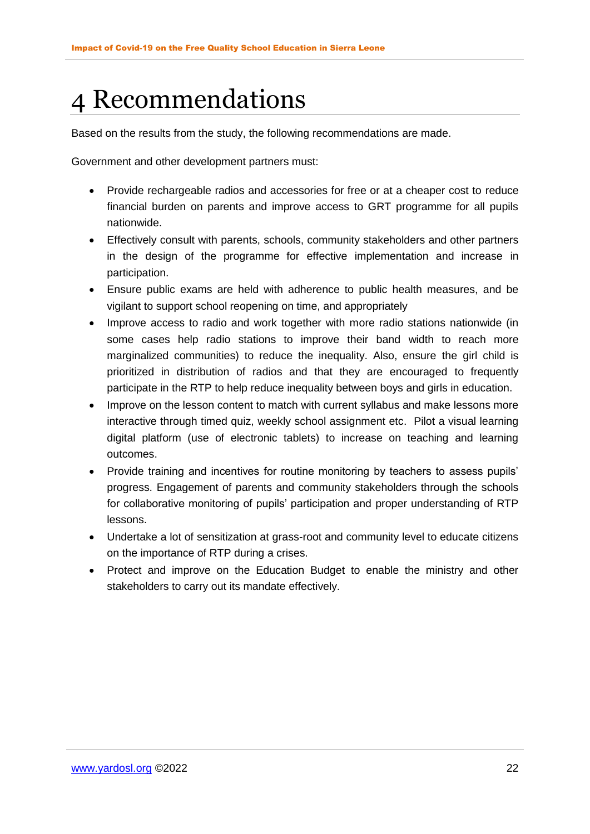# 4 Recommendations

Based on the results from the study, the following recommendations are made.

Government and other development partners must:

- Provide rechargeable radios and accessories for free or at a cheaper cost to reduce financial burden on parents and improve access to GRT programme for all pupils nationwide.
- Effectively consult with parents, schools, community stakeholders and other partners in the design of the programme for effective implementation and increase in participation.
- Ensure public exams are held with adherence to public health measures, and be vigilant to support school reopening on time, and appropriately
- Improve access to radio and work together with more radio stations nationwide (in some cases help radio stations to improve their band width to reach more marginalized communities) to reduce the inequality. Also, ensure the girl child is prioritized in distribution of radios and that they are encouraged to frequently participate in the RTP to help reduce inequality between boys and girls in education.
- Improve on the lesson content to match with current syllabus and make lessons more interactive through timed quiz, weekly school assignment etc. Pilot a visual learning digital platform (use of electronic tablets) to increase on teaching and learning outcomes.
- Provide training and incentives for routine monitoring by teachers to assess pupils' progress. Engagement of parents and community stakeholders through the schools for collaborative monitoring of pupils' participation and proper understanding of RTP lessons.
- Undertake a lot of sensitization at grass-root and community level to educate citizens on the importance of RTP during a crises.
- Protect and improve on the Education Budget to enable the ministry and other stakeholders to carry out its mandate effectively.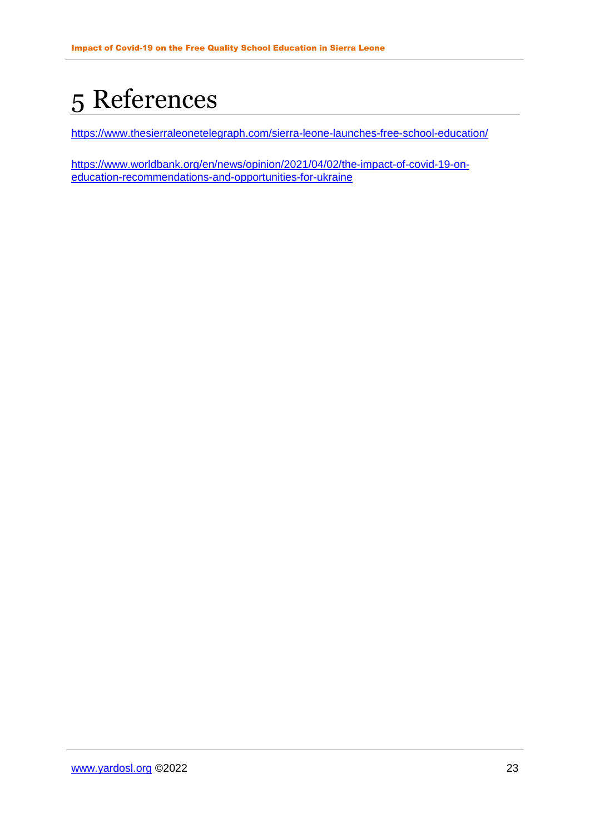# <span id="page-23-0"></span>5 References

<https://www.thesierraleonetelegraph.com/sierra-leone-launches-free-school-education/>

[https://www.worldbank.org/en/news/opinion/2021/04/02/the-impact-of-covid-19-on](https://www.worldbank.org/en/news/opinion/2021/04/02/the-impact-of-covid-19-on-education-recommendations-and-opportunities-for-ukraine)[education-recommendations-and-opportunities-for-ukraine](https://www.worldbank.org/en/news/opinion/2021/04/02/the-impact-of-covid-19-on-education-recommendations-and-opportunities-for-ukraine)